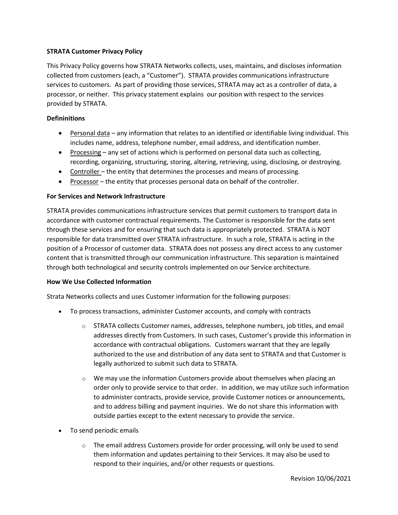# **STRATA Customer Privacy Policy**

This Privacy Policy governs how STRATA Networks collects, uses, maintains, and discloses information collected from customers (each, a "Customer"). STRATA provides communications infrastructure services to customers. As part of providing those services, STRATA may act as a controller of data, a processor, or neither. This privacy statement explains our position with respect to the services provided by STRATA.

# **Defininitions**

- Personal data any information that relates to an identified or identifiable living individual. This includes name, address, telephone number, email address, and identification number.
- Processing any set of actions which is performed on personal data such as collecting, recording, organizing, structuring, storing, altering, retrieving, using, disclosing, or destroying.
- Controller the entity that determines the processes and means of processing.
- Processor the entity that processes personal data on behalf of the controller.

## **For Services and Network Infrastructure**

STRATA provides communications infrastructure services that permit customers to transport data in accordance with customer contractual requirements. The Customer is responsible for the data sent through these services and for ensuring that such data is appropriately protected. STRATA is NOT responsible for data transmitted over STRATA infrastructure. In such a role, STRATA is acting in the position of a Processor of customer data. STRATA does not possess any direct access to any customer content that is transmitted through our communication infrastructure. This separation is maintained through both technological and security controls implemented on our Service architecture.

## **How We Use Collected Information**

Strata Networks collects and uses Customer information for the following purposes:

- To process transactions, administer Customer accounts, and comply with contracts
	- $\circ$  STRATA collects Customer names, addresses, telephone numbers, job titles, and email addresses directly from Customers. In such cases, Customer's provide this information in accordance with contractual obligations. Customers warrant that they are legally authorized to the use and distribution of any data sent to STRATA and that Customer is legally authorized to submit such data to STRATA.
	- $\circ$  We may use the information Customers provide about themselves when placing an order only to provide service to that order. In addition, we may utilize such information to administer contracts, provide service, provide Customer notices or announcements, and to address billing and payment inquiries. We do not share this information with outside parties except to the extent necessary to provide the service.
- To send periodic emails
	- $\circ$  The email address Customers provide for order processing, will only be used to send them information and updates pertaining to their Services. It may also be used to respond to their inquiries, and/or other requests or questions.